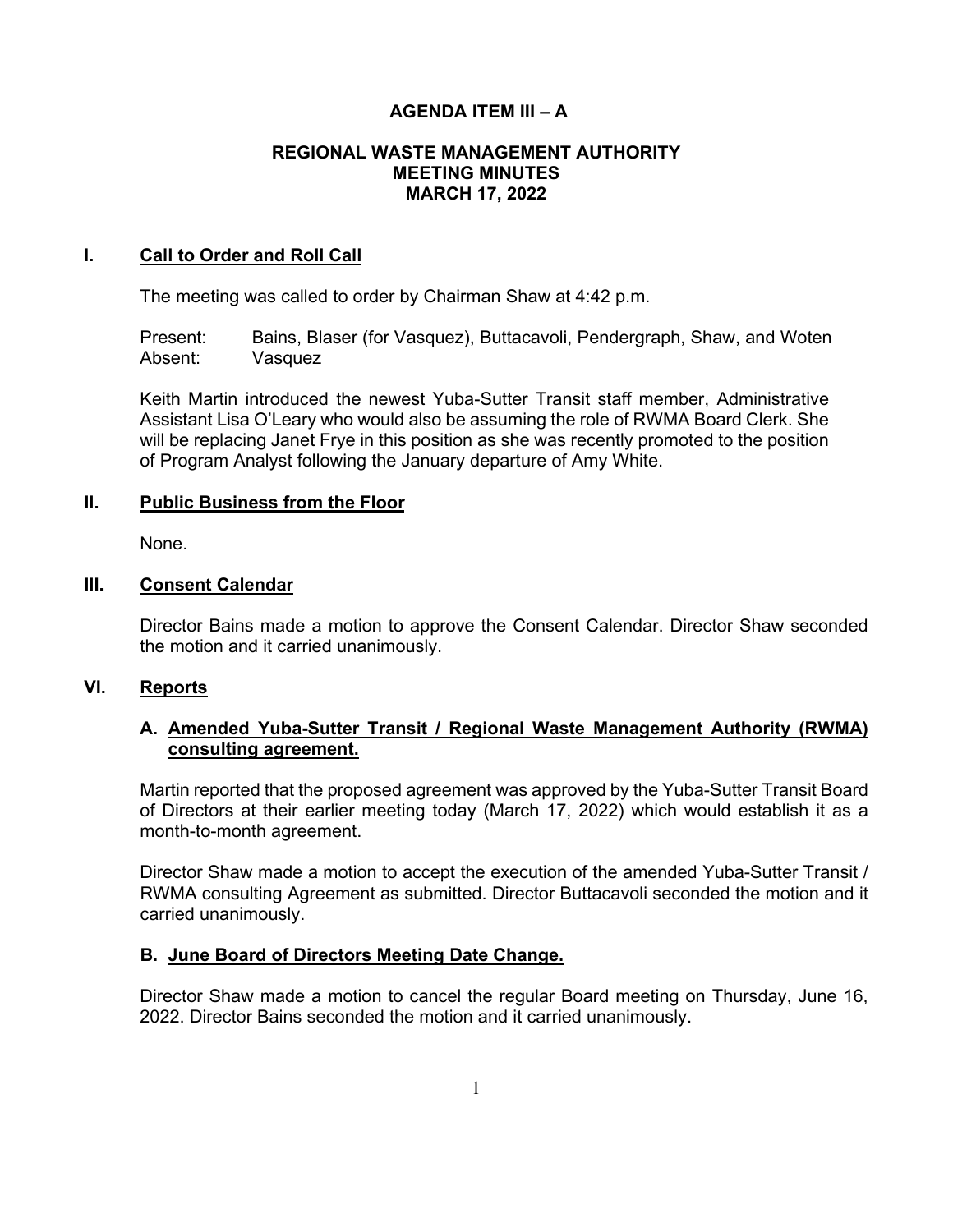# **AGENDA ITEM III – A**

### **REGIONAL WASTE MANAGEMENT AUTHORITY MEETING MINUTES MARCH 17, 2022**

#### **I. Call to Order and Roll Call**

The meeting was called to order by Chairman Shaw at 4:42 p.m.

Present: Bains, Blaser (for Vasquez), Buttacavoli, Pendergraph, Shaw, and Woten Absent: Vasquez

Keith Martin introduced the newest Yuba-Sutter Transit staff member, Administrative Assistant Lisa O'Leary who would also be assuming the role of RWMA Board Clerk. She will be replacing Janet Frye in this position as she was recently promoted to the position of Program Analyst following the January departure of Amy White.

### **II. Public Business from the Floor**

None.

### **III. Consent Calendar**

Director Bains made a motion to approve the Consent Calendar. Director Shaw seconded the motion and it carried unanimously.

# **VI. Reports**

# **A. Amended Yuba-Sutter Transit / Regional Waste Management Authority (RWMA) consulting agreement.**

Martin reported that the proposed agreement was approved by the Yuba-Sutter Transit Board of Directors at their earlier meeting today (March 17, 2022) which would establish it as a month-to-month agreement.

Director Shaw made a motion to accept the execution of the amended Yuba-Sutter Transit / RWMA consulting Agreement as submitted. Director Buttacavoli seconded the motion and it carried unanimously.

# **B. June Board of Directors Meeting Date Change.**

Director Shaw made a motion to cancel the regular Board meeting on Thursday, June 16, 2022. Director Bains seconded the motion and it carried unanimously.